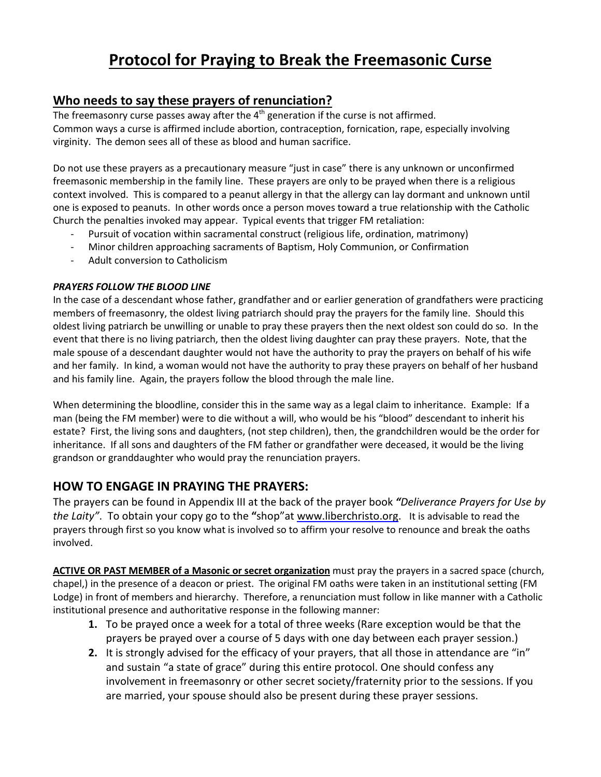# **Protocol for Praying to Break the Freemasonic Curse**

## **Who needs to say these prayers of renunciation?**

The freemasonry curse passes away after the  $4^{\text{th}}$  generation if the curse is not affirmed. Common ways a curse is affirmed include abortion, contraception, fornication, rape, especially involving virginity. The demon sees all of these as blood and human sacrifice.

Do not use these prayers as a precautionary measure "just in case" there is any unknown or unconfirmed freemasonic membership in the family line. These prayers are only to be prayed when there is a religious context involved. This is compared to a peanut allergy in that the allergy can lay dormant and unknown until one is exposed to peanuts. In other words once a person moves toward a true relationship with the Catholic Church the penalties invoked may appear. Typical events that trigger FM retaliation:

- Pursuit of vocation within sacramental construct (religious life, ordination, matrimony)
- Minor children approaching sacraments of Baptism, Holy Communion, or Confirmation
- Adult conversion to Catholicism

## *PRAYERS FOLLOW THE BLOOD LINE*

In the case of a descendant whose father, grandfather and or earlier generation of grandfathers were practicing members of freemasonry, the oldest living patriarch should pray the prayers for the family line. Should this oldest living patriarch be unwilling or unable to pray these prayers then the next oldest son could do so. In the event that there is no living patriarch, then the oldest living daughter can pray these prayers. Note, that the male spouse of a descendant daughter would not have the authority to pray the prayers on behalf of his wife and her family. In kind, a woman would not have the authority to pray these prayers on behalf of her husband and his family line. Again, the prayers follow the blood through the male line.

When determining the bloodline, consider this in the same way as a legal claim to inheritance. Example: If a man (being the FM member) were to die without a will, who would be his "blood" descendant to inherit his estate? First, the living sons and daughters, (not step children), then, the grandchildren would be the order for inheritance. If all sons and daughters of the FM father or grandfather were deceased, it would be the living grandson or granddaughter who would pray the renunciation prayers.

## **HOW TO ENGAGE IN PRAYING THE PRAYERS:**

The prayers can be found in Appendix III at the back of the prayer book *"Deliverance Prayers for Use by the Laity"*. To obtain your copy go to the **"**shop"at [www.liberchristo.org.](https://www.liberchristo.org/product/deliverance-prayers-for-use-by-the-laity/) It is advisable to read the prayers through first so you know what is involved so to affirm your resolve to renounce and break the oaths involved.

**ACTIVE OR PAST MEMBER of a Masonic or secret organization** must pray the prayers in a sacred space (church, chapel,) in the presence of a deacon or priest. The original FM oaths were taken in an institutional setting (FM Lodge) in front of members and hierarchy. Therefore, a renunciation must follow in like manner with a Catholic institutional presence and authoritative response in the following manner:

- **1.** To be prayed once a week for a total of three weeks (Rare exception would be that the prayers be prayed over a course of 5 days with one day between each prayer session.)
- **2.** It is strongly advised for the efficacy of your prayers, that all those in attendance are "in" and sustain "a state of grace" during this entire protocol. One should confess any involvement in freemasonry or other secret society/fraternity prior to the sessions. If you are married, your spouse should also be present during these prayer sessions.